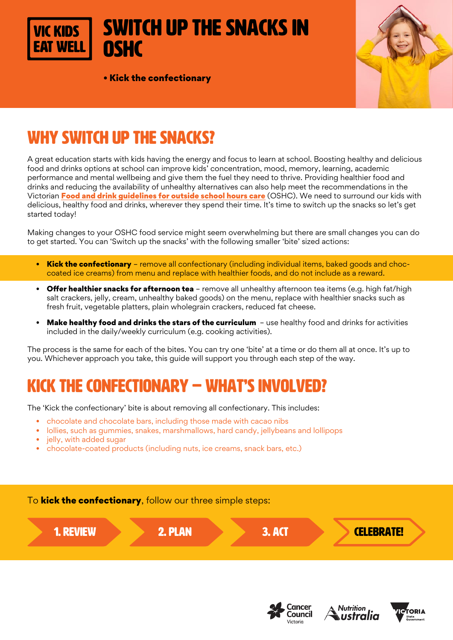# Switch up the snacks in **OSHC**

• Kick the confectionary

# WHY SWITCH UP THE SNACKS?

A great education starts with kids having the energy and focus to learn at school. Boosting healthy and delicious food and drinks options at school can improve kids' concentration, mood, memory, learning, academic performance and mental wellbeing and give them the fuel they need to thrive. Providing healthier food and drinks and reducing the availability of unhealthy alternatives can also help meet the recommendations in the Victorian [Food and drink guidelines for outside school hours care](https://heas.health.vic.gov.au/early-childhood-services/menu-planning/OSHC/guidelines) (OSHC). We need to surround our kids with delicious, healthy food and drinks, wherever they spend their time. It's time to switch up the snacks so let's get started today!

Making changes to your OSHC food service might seem overwhelming but there are small changes you can do to get started. You can 'Switch up the snacks' with the following smaller 'bite' sized actions:

- **Kick the confectionary** remove all confectionary (including individual items, baked goods and choccoated ice creams) from menu and replace with healthier foods, and do not include as a reward.
- **Offer healthier snacks for afternoon tea** remove all unhealthy afternoon tea items (e.g. high fat/high salt crackers, jelly, cream, unhealthy baked goods) on the menu, replace with healthier snacks such as fresh fruit, vegetable platters, plain wholegrain crackers, reduced fat cheese.
- Make healthy food and drinks the stars of the curriculum use healthy food and drinks for activities included in the daily/weekly curriculum (e.g. cooking activities).

The process is the same for each of the bites. You can try one 'bite' at a time or do them all at once. It's up to you. Whichever approach you take, this guide will support you through each step of the way.

## KICK THE CONFECTIONARY – WHAT'S INVOLVED?

The 'Kick the confectionary' bite is about removing all confectionary. This includes:

- chocolate and chocolate bars, including those made with cacao nibs
- lollies, such as gummies, snakes, marshmallows, hard candy, jellybeans and lollipops
- jelly, with added sugar
- chocolate-coated products (including nuts, ice creams, snack bars, etc.)







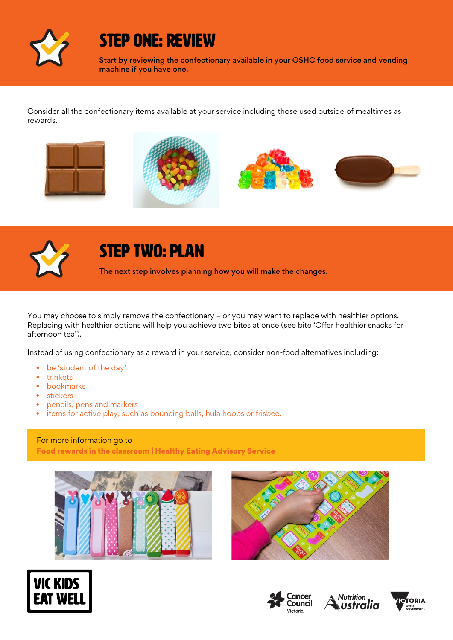

### STEP ONE: REVIEW

Start by reviewing the confectionary available in your OSHC food service and vending machine if you have one.

Consider all the confectionary items available at your service including those used outside of mealtimes as rewards.











### STEP TWO: PLAN

The next step involves planning how you will make the changes.

You may choose to simply remove the confectionary – or you may want to replace with healthier options. Replacing with healthier options will help you achieve two bites at once (see bite 'Offer healthier snacks for afternoon tea').

Instead of using confectionary as a reward in your service, consider non-food alternatives including:

- be 'student of the day'
- trinkets
- bookmarks
- stickers
- pencils, pens and markers
- items for active play, such as bouncing balls, hula hoops or frisbee.

#### For more information go to

[Food rewards in the classroom | Healthy Eating Advisory Service](http://heas.health.vic.gov.au/schools/classroom/food-rewards)











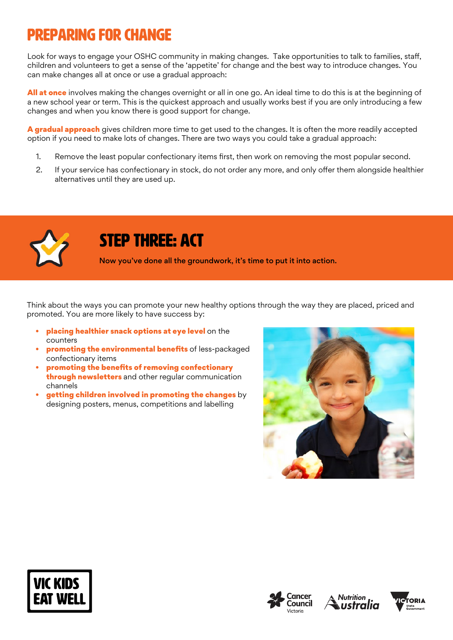## Preparing for change

Look for ways to engage your OSHC community in making changes. Take opportunities to talk to families, staff, children and volunteers to get a sense of the 'appetite' for change and the best way to introduce changes. You can make changes all at once or use a gradual approach:

All at once involves making the changes overnight or all in one go. An ideal time to do this is at the beginning of a new school year or term. This is the quickest approach and usually works best if you are only introducing a few changes and when you know there is good support for change.

A gradual approach gives children more time to get used to the changes. It is often the more readily accepted option if you need to make lots of changes. There are two ways you could take a gradual approach:

- 1. Remove the least popular confectionary items first, then work on removing the most popular second.
- 2. If your service has confectionary in stock, do not order any more, and only offer them alongside healthier alternatives until they are used up.



### STEP THREE: ACT

Now you've done all the groundwork, it's time to put it into action.

Think about the ways you can promote your new healthy options through the way they are placed, priced and promoted. You are more likely to have success by:

- placing healthier snack options at eye level on the counters
- promoting the environmental benefits of less-packaged confectionary items
- promoting the benefits of removing confectionary through newsletters and other regular communication channels
- getting children involved in promoting the changes by designing posters, menus, competitions and labelling









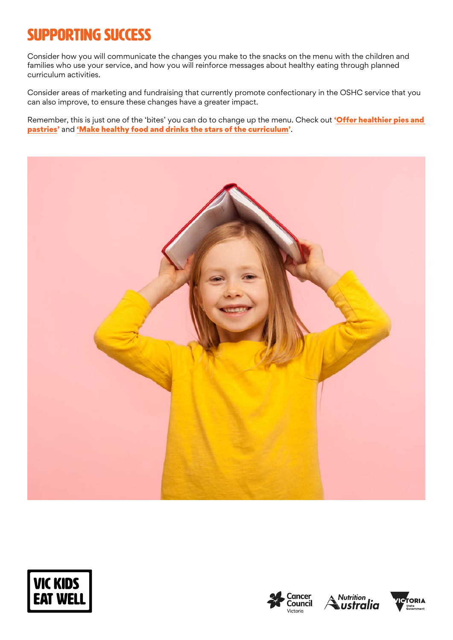## SUPPORTING SUCCESS

Consider how you will communicate the changes you make to the snacks on the menu with the children and families who use your service, and how you will reinforce messages about healthy eating through planned curriculum activities.

Consider areas of marketing and fundraising that currently promote confectionary in the OSHC service that you can also improve, to ensure these changes have a greater impact.

Remember, this is just one of the 'bites' you can do to change up the menu. Check out 'Offer healthier pies and [pastries'](https://www.vickidseatwell.health.vic.gov.au/resources) and '[Make healthy food and drinks the stars of the curriculum](https://www.vickidseatwell.health.vic.gov.au/resources)'.